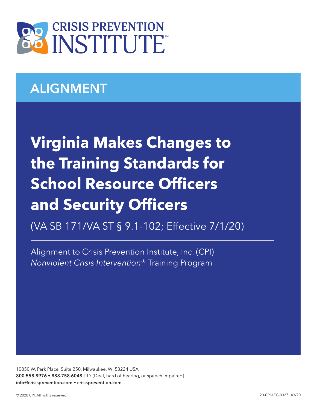

## ALIGNMENT

## **Virginia Makes Changes to the Training Standards for School Resource Officers and Security Officers**

(VA SB 171/VA ST § 9.1-102; Effective 7/1/20)

Alignment to Crisis Prevention Institute, Inc. (CPI) *Nonviolent Crisis Intervention*® Training Program

10850 W. Park Place, Suite 250, Milwaukee, WI 53224 USA 800.558.8976 • 888.758.6048 TTY (Deaf, hard of hearing, or speech impaired) info@crisisprevention.com • crisisprevention.com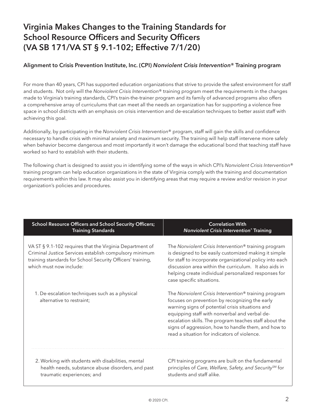## Virginia Makes Changes to the Training Standards for School Resource Officers and Security Officers (VA SB 171/VA ST § 9.1-102; Effective 7/1/20)

## Alignment to Crisis Prevention Institute, Inc. (CPI) *Nonviolent Crisis Intervention*® Training program

For more than 40 years, CPI has supported education organizations that strive to provide the safest environment for staff and students. Not only will the *Nonviolent Crisis Intervention*® training program meet the requirements in the changes made to Virginia's training standards, CPI's train-the-trainer program and its family of advanced programs also offers a comprehensive array of curriculums that can meet all the needs an organization has for supporting a violence free space in school districts with an emphasis on crisis intervention and de-escalation techniques to better assist staff with achieving this goal.

Additionally, by participating in the *Nonviolent Crisis Intervention*® program, staff will gain the skills and confidence necessary to handle crisis with minimal anxiety and maximum security. The training will help staff intervene more safely when behavior become dangerous and most importantly it won't damage the educational bond that teaching staff have worked so hard to establish with their students.

The following chart is designed to assist you in identifying some of the ways in which CPI's *Nonviolent Crisis Intervention*® training program can help education organizations in the state of Virginia comply with the training and documentation requirements within this law. It may also assist you in identifying areas that may require a review and/or revision in your organization's policies and procedures.

| <b>School Resource Officers and School Security Officers;</b>                                                                                                                                               | <b>Correlation With</b>                                                                                                                                                                                                                                                                                                                                                                  |
|-------------------------------------------------------------------------------------------------------------------------------------------------------------------------------------------------------------|------------------------------------------------------------------------------------------------------------------------------------------------------------------------------------------------------------------------------------------------------------------------------------------------------------------------------------------------------------------------------------------|
| <b>Training Standards</b>                                                                                                                                                                                   | <b>Nonviolent Crisis Intervention® Training</b>                                                                                                                                                                                                                                                                                                                                          |
| VA ST § 9.1-102 requires that the Virginia Department of<br>Criminal Justice Services establish compulsory minimum<br>training standards for School Security Officers' training,<br>which must now include: | The Nonviolent Crisis Intervention <sup>®</sup> training program<br>is designed to be easily customized making it simple<br>for staff to incorporate organizational policy into each<br>discussion area within the curriculum. It also aids in<br>helping create individual personalized responses for<br>case specific situations.                                                      |
| 1. De-escalation techniques such as a physical<br>alternative to restraint;                                                                                                                                 | The Nonviolent Crisis Intervention <sup>®</sup> training program<br>focuses on prevention by recognizing the early<br>warning signs of potential crisis situations and<br>equipping staff with nonverbal and verbal de-<br>escalation skills. The program teaches staff about the<br>signs of aggression, how to handle them, and how to<br>read a situation for indicators of violence. |
| 2. Working with students with disabilities, mental                                                                                                                                                          | CPI training programs are built on the fundamental                                                                                                                                                                                                                                                                                                                                       |
| health needs, substance abuse disorders, and past                                                                                                                                                           | principles of Care, Welfare, Safety, and Security <sup>SM</sup> for                                                                                                                                                                                                                                                                                                                      |
| traumatic experiences; and                                                                                                                                                                                  | students and staff alike.                                                                                                                                                                                                                                                                                                                                                                |